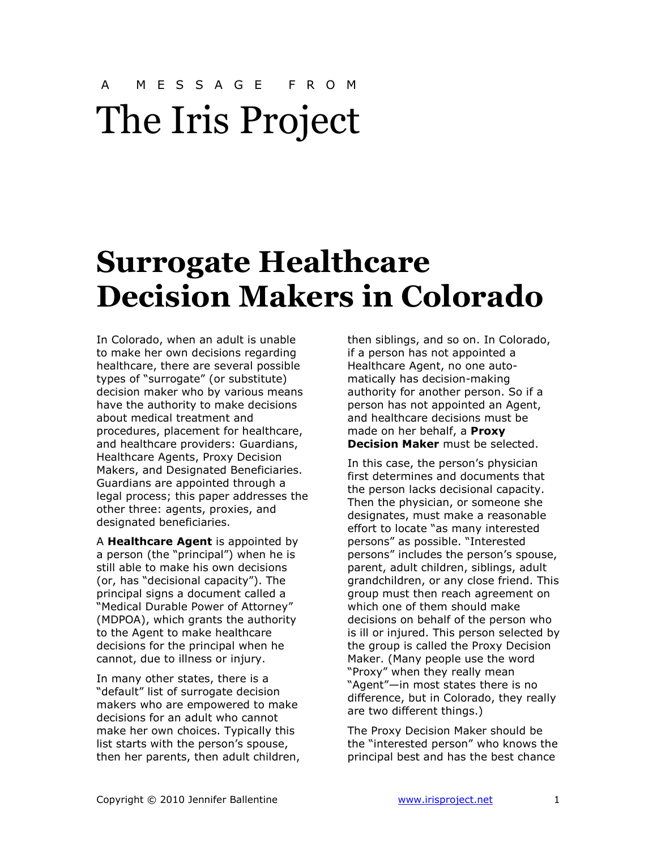## A M E S S A G E F R O M The Iris Project

## Surrogate Healthcare Decision Makers in Colorado

In Colorado, when an adult is unable to make her own decisions regarding healthcare, there are several possible types of "surrogate" (or substitute) decision maker who by various means have the authority to make decisions about medical treatment and procedures, placement for healthcare, and healthcare providers: Guardians, Healthcare Agents, Proxy Decision Makers, and Designated Beneficiaries. Guardians are appointed through a legal process; this paper addresses the other three: agents, proxies, and designated beneficiaries.

A **Healthcare Agent** is appointed by a person (the "principal") when he is still able to make his own decisions (or, has "decisional capacity"). The principal signs a document called a "Medical Durable Power of Attorney" (MDPOA), which grants the authority to the Agent to make healthcare decisions for the principal when he cannot, due to illness or injury.

In many other states, there is a "default" list of surrogate decision makers who are empowered to make decisions for an adult who cannot make her own choices. Typically this list starts with the person's spouse, then her parents, then adult children, then siblings, and so on. In Colorado, if a person has not appointed a Healthcare Agent, no one automatically has decision-making authority for another person. So if a person has not appointed an Agent, and healthcare decisions must be made on her behalf, a Proxy **Decision Maker** must be selected.

In this case, the person's physician first determines and documents that the person lacks decisional capacity. Then the physician, or someone she designates, must make a reasonable effort to locate "as many interested persons" as possible. "Interested persons" includes the person's spouse, parent, adult children, siblings, adult grandchildren, or any close friend. This group must then reach agreement on which one of them should make decisions on behalf of the person who is ill or injured. This person selected by the group is called the Proxy Decision Maker. (Many people use the word "Proxy" when they really mean "Agent"—in most states there is no difference, but in Colorado, they really are two different things.)

The Proxy Decision Maker should be the "interested person" who knows the principal best and has the best chance